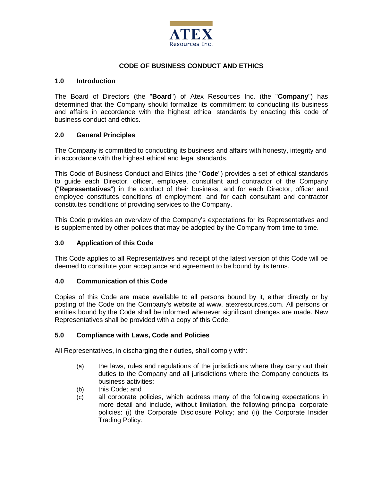

### **CODE OF BUSINESS CONDUCT AND ETHICS**

#### **1.0 Introduction**

The Board of Directors (the "**Board**") of Atex Resources Inc. (the "**Company**") has determined that the Company should formalize its commitment to conducting its business and affairs in accordance with the highest ethical standards by enacting this code of business conduct and ethics.

### **2.0 General Principles**

The Company is committed to conducting its business and affairs with honesty, integrity and in accordance with the highest ethical and legal standards.

This Code of Business Conduct and Ethics (the "**Code**") provides a set of ethical standards to guide each Director, officer, employee, consultant and contractor of the Company ("**Representatives**") in the conduct of their business, and for each Director, officer and employee constitutes conditions of employment, and for each consultant and contractor constitutes conditions of providing services to the Company.

This Code provides an overview of the Company's expectations for its Representatives and is supplemented by other polices that may be adopted by the Company from time to time.

#### **3.0 Application of this Code**

This Code applies to all Representatives and receipt of the latest version of this Code will be deemed to constitute your acceptance and agreement to be bound by its terms.

#### **4.0 Communication of this Code**

Copies of this Code are made available to all persons bound by it, either directly or by posting of the Code on the Company's website at www. atexresources.com. All persons or entities bound by the Code shall be informed whenever significant changes are made. New Representatives shall be provided with a copy of this Code.

#### **5.0 Compliance with Laws, Code and Policies**

All Representatives, in discharging their duties, shall comply with:

- (a) the laws, rules and regulations of the jurisdictions where they carry out their duties to the Company and all jurisdictions where the Company conducts its business activities;
- (b) this Code; and
- (c) all corporate policies, which address many of the following expectations in more detail and include, without limitation, the following principal corporate policies: (i) the Corporate Disclosure Policy; and (ii) the Corporate Insider Trading Policy.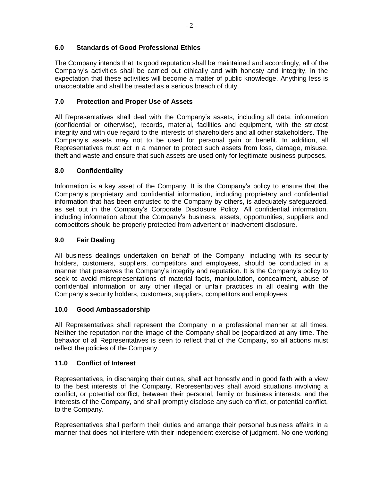# **6.0 Standards of Good Professional Ethics**

The Company intends that its good reputation shall be maintained and accordingly, all of the Company's activities shall be carried out ethically and with honesty and integrity, in the expectation that these activities will become a matter of public knowledge. Anything less is unacceptable and shall be treated as a serious breach of duty.

# **7.0 Protection and Proper Use of Assets**

All Representatives shall deal with the Company's assets, including all data, information (confidential or otherwise), records, material, facilities and equipment, with the strictest integrity and with due regard to the interests of shareholders and all other stakeholders. The Company's assets may not to be used for personal gain or benefit. In addition, all Representatives must act in a manner to protect such assets from loss, damage, misuse, theft and waste and ensure that such assets are used only for legitimate business purposes.

# **8.0 Confidentiality**

Information is a key asset of the Company. It is the Company's policy to ensure that the Company's proprietary and confidential information, including proprietary and confidential information that has been entrusted to the Company by others, is adequately safeguarded, as set out in the Company's Corporate Disclosure Policy. All confidential information, including information about the Company's business, assets, opportunities, suppliers and competitors should be properly protected from advertent or inadvertent disclosure.

# **9.0 Fair Dealing**

All business dealings undertaken on behalf of the Company, including with its security holders, customers, suppliers, competitors and employees, should be conducted in a manner that preserves the Company's integrity and reputation. It is the Company's policy to seek to avoid misrepresentations of material facts, manipulation, concealment, abuse of confidential information or any other illegal or unfair practices in all dealing with the Company's security holders, customers, suppliers, competitors and employees.

# **10.0 Good Ambassadorship**

All Representatives shall represent the Company in a professional manner at all times. Neither the reputation nor the image of the Company shall be jeopardized at any time. The behavior of all Representatives is seen to reflect that of the Company, so all actions must reflect the policies of the Company.

# **11.0 Conflict of Interest**

Representatives, in discharging their duties, shall act honestly and in good faith with a view to the best interests of the Company. Representatives shall avoid situations involving a conflict, or potential conflict, between their personal, family or business interests, and the interests of the Company, and shall promptly disclose any such conflict, or potential conflict, to the Company.

Representatives shall perform their duties and arrange their personal business affairs in a manner that does not interfere with their independent exercise of judgment. No one working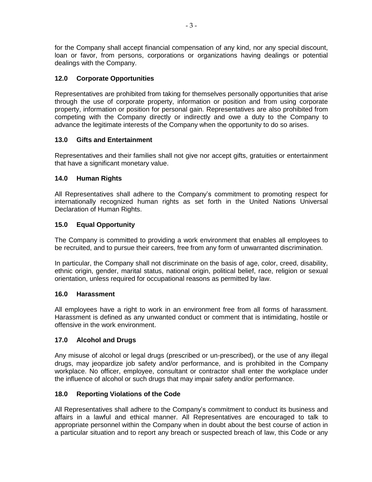for the Company shall accept financial compensation of any kind, nor any special discount, loan or favor, from persons, corporations or organizations having dealings or potential dealings with the Company.

# **12.0 Corporate Opportunities**

Representatives are prohibited from taking for themselves personally opportunities that arise through the use of corporate property, information or position and from using corporate property, information or position for personal gain. Representatives are also prohibited from competing with the Company directly or indirectly and owe a duty to the Company to advance the legitimate interests of the Company when the opportunity to do so arises.

### **13.0 Gifts and Entertainment**

Representatives and their families shall not give nor accept gifts, gratuities or entertainment that have a significant monetary value.

### **14.0 Human Rights**

All Representatives shall adhere to the Company's commitment to promoting respect for internationally recognized human rights as set forth in the United Nations Universal Declaration of Human Rights.

### **15.0 Equal Opportunity**

The Company is committed to providing a work environment that enables all employees to be recruited, and to pursue their careers, free from any form of unwarranted discrimination.

In particular, the Company shall not discriminate on the basis of age, color, creed, disability, ethnic origin, gender, marital status, national origin, political belief, race, religion or sexual orientation, unless required for occupational reasons as permitted by law.

### **16.0 Harassment**

All employees have a right to work in an environment free from all forms of harassment. Harassment is defined as any unwanted conduct or comment that is intimidating, hostile or offensive in the work environment.

### **17.0 Alcohol and Drugs**

Any misuse of alcohol or legal drugs (prescribed or un-prescribed), or the use of any illegal drugs, may jeopardize job safety and/or performance, and is prohibited in the Company workplace. No officer, employee, consultant or contractor shall enter the workplace under the influence of alcohol or such drugs that may impair safety and/or performance.

### **18.0 Reporting Violations of the Code**

All Representatives shall adhere to the Company's commitment to conduct its business and affairs in a lawful and ethical manner. All Representatives are encouraged to talk to appropriate personnel within the Company when in doubt about the best course of action in a particular situation and to report any breach or suspected breach of law, this Code or any